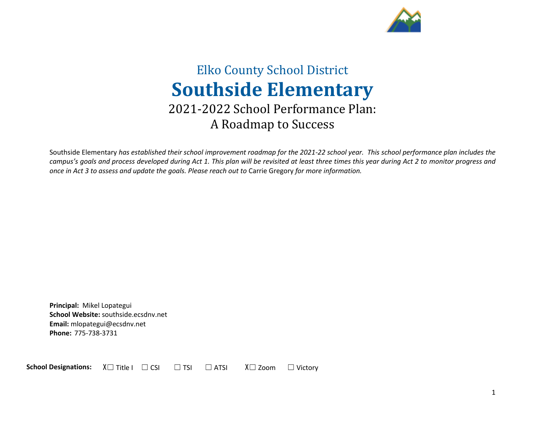

# Elko County School District **Southside Elementary** 2021-2022 School Performance Plan: A Roadmap to Success

Southside Elementary *has established their school improvement roadmap for the 2021-22 school year. This school performance plan includes the campus's goals and process developed during Act 1. This plan will be revisited at least three times this year during Act 2 to monitor progress and once in Act 3 to assess and update the goals. Please reach out to* Carrie Gregory *for more information.*

**Principal:** Mikel Lopategui **School Website:** southside.ecsdnv.net **Email:** mlopategui@ecsdnv.net **Phone:** 775-738-3731

**School Designations:**  $\chi$  □ Title I □ CSI □ TSI □ ATSI  $\chi$  Zoom □ Victory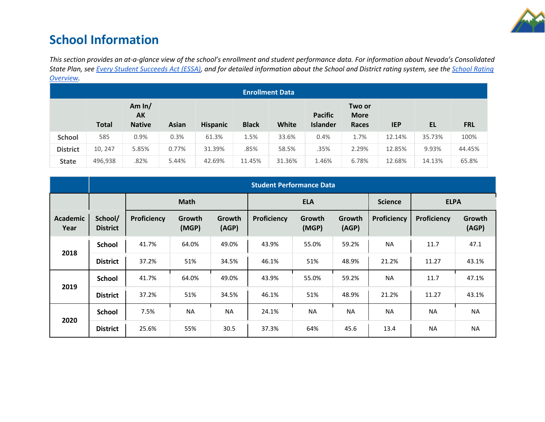

# **School Information**

*This section provides an at-a-glance view of the school's enrollment and student performance data. For information about Nevada's Consolidated State Plan, see [Every Student Succeeds Act \(ESSA\),](https://doe.nv.gov/uploadedFiles/ndedoenvgov/content/Boards_Commissions_Councils/ESSA_Adv_Group/NevadaSubmittedConsolidatedPlanFinal.pdf) and for detailed information about the School and District rating system, see the [School Rating](http://nevadareportcard.nv.gov/DI/MoreDownload?filename=Nevadas%20School%20Rating%20System.pdf)  [Overview.](http://nevadareportcard.nv.gov/DI/MoreDownload?filename=Nevadas%20School%20Rating%20System.pdf)*

| <b>Enrollment Data</b> |              |                                 |              |                 |              |              |                                   |                                |            |        |            |
|------------------------|--------------|---------------------------------|--------------|-----------------|--------------|--------------|-----------------------------------|--------------------------------|------------|--------|------------|
|                        | <b>Total</b> | Am $ln/$<br>AK<br><b>Native</b> | <b>Asian</b> | <b>Hispanic</b> | <b>Black</b> | <b>White</b> | <b>Pacific</b><br><b>Islander</b> | Two or<br><b>More</b><br>Races | <b>IEP</b> | EL     | <b>FRL</b> |
| <b>School</b>          | 585          | 0.9%                            | 0.3%         | 61.3%           | 1.5%         | 33.6%        | 0.4%                              | 1.7%                           | 12.14%     | 35.73% | 100%       |
| <b>District</b>        | 10, 247      | 5.85%                           | 0.77%        | 31.39%          | .85%         | 58.5%        | .35%                              | 2.29%                          | 12.85%     | 9.93%  | 44.45%     |
| <b>State</b>           | 496,938      | .82%                            | 5.44%        | 42.69%          | 11.45%       | 31.36%       | 1.46%                             | 6.78%                          | 12.68%     | 14.13% | 65.8%      |

|                         | <b>Student Performance Data</b> |             |                 |                 |             |                 |                 |             |             |                 |
|-------------------------|---------------------------------|-------------|-----------------|-----------------|-------------|-----------------|-----------------|-------------|-------------|-----------------|
|                         |                                 | <b>Math</b> |                 |                 |             | <b>ELA</b>      |                 |             | <b>ELPA</b> |                 |
| <b>Academic</b><br>Year | School/<br><b>District</b>      | Proficiency | Growth<br>(MGP) | Growth<br>(AGP) | Proficiency | Growth<br>(MGP) | Growth<br>(AGP) | Proficiency | Proficiency | Growth<br>(AGP) |
| 2018                    | <b>School</b>                   | 41.7%       | 64.0%           | 49.0%           | 43.9%       | 55.0%           | 59.2%           | <b>NA</b>   | 11.7        | 47.1            |
|                         | <b>District</b>                 | 37.2%       | 51%             | 34.5%           | 46.1%       | 51%             | 48.9%           | 21.2%       | 11.27       | 43.1%           |
|                         | <b>School</b>                   | 41.7%       | 64.0%           | 49.0%           | 43.9%       | 55.0%           | 59.2%           | <b>NA</b>   | 11.7        | 47.1%           |
| 2019                    | <b>District</b>                 | 37.2%       | 51%             | 34.5%           | 46.1%       | 51%             | 48.9%           | 21.2%       | 11.27       | 43.1%           |
|                         | <b>School</b>                   | 7.5%        | <b>NA</b>       | <b>NA</b>       | 24.1%       | <b>NA</b>       | <b>NA</b>       | <b>NA</b>   | <b>NA</b>   | <b>NA</b>       |
| 2020                    | <b>District</b>                 | 25.6%       | 55%             | 30.5            | 37.3%       | 64%             | 45.6            | 13.4        | <b>NA</b>   | <b>NA</b>       |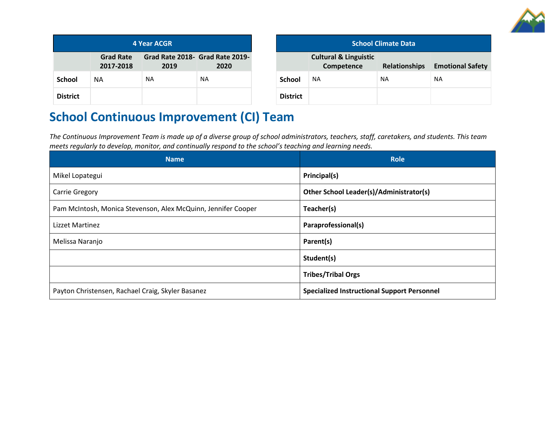

| <b>4 Year ACGR</b> |                               |                                         |           |  |  |
|--------------------|-------------------------------|-----------------------------------------|-----------|--|--|
|                    | <b>Grad Rate</b><br>2017-2018 | Grad Rate 2018- Grad Rate 2019-<br>2019 | 2020      |  |  |
| <b>School</b>      | NA.                           | <b>NA</b>                               | <b>NA</b> |  |  |
| <b>District</b>    |                               |                                         |           |  |  |

| <b>School Climate Data</b> |                                                |                      |                         |  |  |
|----------------------------|------------------------------------------------|----------------------|-------------------------|--|--|
|                            | <b>Cultural &amp; Linguistic</b><br>Competence | <b>Relationships</b> | <b>Emotional Safety</b> |  |  |
| <b>School</b>              | <b>NA</b>                                      | <b>NA</b>            | ΝA                      |  |  |
| <b>District</b>            |                                                |                      |                         |  |  |

# **School Continuous Improvement (CI) Team**

*The Continuous Improvement Team is made up of a diverse group of school administrators, teachers, staff, caretakers, and students. This team meets regularly to develop, monitor, and continually respond to the school's teaching and learning needs.*

| <b>Name</b>                                                   | <b>Role</b>                                        |
|---------------------------------------------------------------|----------------------------------------------------|
| Mikel Lopategui                                               | Principal(s)                                       |
| <b>Carrie Gregory</b>                                         | Other School Leader(s)/Administrator(s)            |
| Pam McIntosh, Monica Stevenson, Alex McQuinn, Jennifer Cooper | Teacher(s)                                         |
| Lizzet Martinez                                               | Paraprofessional(s)                                |
| Melissa Naranjo                                               | Parent(s)                                          |
|                                                               | Student(s)                                         |
|                                                               | <b>Tribes/Tribal Orgs</b>                          |
| Payton Christensen, Rachael Craig, Skyler Basanez             | <b>Specialized Instructional Support Personnel</b> |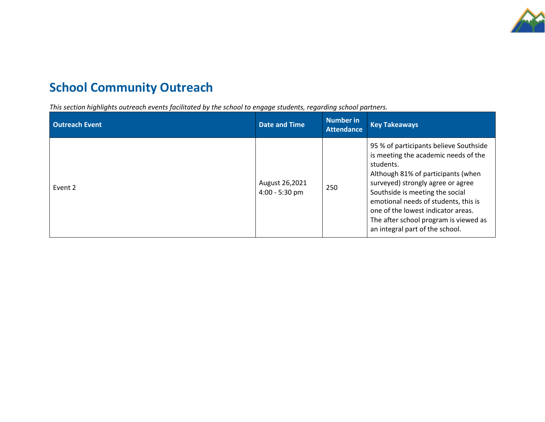

# **School Community Outreach**

*This section highlights outreach events facilitated by the school to engage students, regarding school partners.* 

| <b>Outreach Event</b> | <b>Date and Time</b>               | Number in<br><b>Attendance</b> | <b>Key Takeaways</b>                                                                                                                                                                                                                                                                                                                                                |
|-----------------------|------------------------------------|--------------------------------|---------------------------------------------------------------------------------------------------------------------------------------------------------------------------------------------------------------------------------------------------------------------------------------------------------------------------------------------------------------------|
| Event 2               | August 26,2021<br>$4:00 - 5:30$ pm | 250                            | 95 % of participants believe Southside<br>is meeting the academic needs of the<br>students.<br>Although 81% of participants (when<br>surveyed) strongly agree or agree<br>Southside is meeting the social<br>emotional needs of students, this is<br>one of the lowest indicator areas.<br>The after school program is viewed as<br>an integral part of the school. |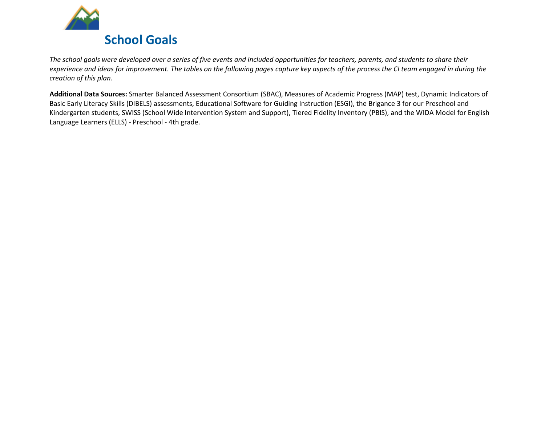

*The school goals were developed over a series of five events and included opportunities for teachers, parents, and students to share their experience and ideas for improvement. The tables on the following pages capture key aspects of the process the CI team engaged in during the creation of this plan.* 

**Additional Data Sources:** Smarter Balanced Assessment Consortium (SBAC), Measures of Academic Progress (MAP) test, Dynamic Indicators of Basic Early Literacy Skills (DIBELS) assessments, Educational Software for Guiding Instruction (ESGI), the Brigance 3 for our Preschool and Kindergarten students, SWISS (School Wide Intervention System and Support), Tiered Fidelity Inventory (PBIS), and the WIDA Model for English Language Learners (ELLS) - Preschool - 4th grade.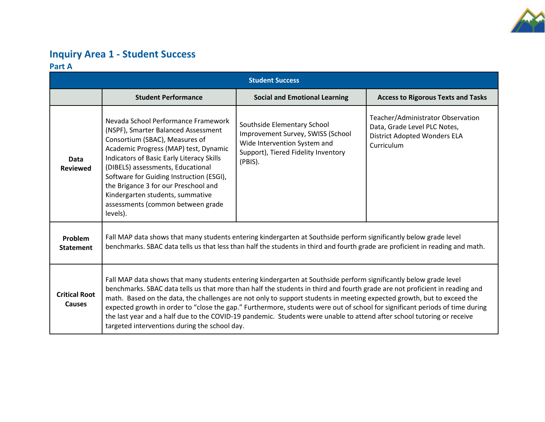

### **Inquiry Area 1 - Student Success Part A**

| <b>Student Success</b>                |                                                                                                                                                                                                                                                                                                                                                                                                                                                                                                                                                                                                                                                                                       |                                                                                                                                                    |                                                                                                                 |  |  |  |
|---------------------------------------|---------------------------------------------------------------------------------------------------------------------------------------------------------------------------------------------------------------------------------------------------------------------------------------------------------------------------------------------------------------------------------------------------------------------------------------------------------------------------------------------------------------------------------------------------------------------------------------------------------------------------------------------------------------------------------------|----------------------------------------------------------------------------------------------------------------------------------------------------|-----------------------------------------------------------------------------------------------------------------|--|--|--|
|                                       | <b>Student Performance</b>                                                                                                                                                                                                                                                                                                                                                                                                                                                                                                                                                                                                                                                            | <b>Social and Emotional Learning</b>                                                                                                               | <b>Access to Rigorous Texts and Tasks</b>                                                                       |  |  |  |
| Data<br><b>Reviewed</b>               | Nevada School Performance Framework<br>(NSPF), Smarter Balanced Assessment<br>Consortium (SBAC), Measures of<br>Academic Progress (MAP) test, Dynamic<br>Indicators of Basic Early Literacy Skills<br>(DIBELS) assessments, Educational<br>Software for Guiding Instruction (ESGI),<br>the Brigance 3 for our Preschool and<br>Kindergarten students, summative<br>assessments (common between grade<br>levels).                                                                                                                                                                                                                                                                      | Southside Elementary School<br>Improvement Survey, SWISS (School<br>Wide Intervention System and<br>Support), Tiered Fidelity Inventory<br>(PBIS). | Teacher/Administrator Observation<br>Data, Grade Level PLC Notes,<br>District Adopted Wonders ELA<br>Curriculum |  |  |  |
| Problem<br><b>Statement</b>           | Fall MAP data shows that many students entering kindergarten at Southside perform significantly below grade level<br>benchmarks. SBAC data tells us that less than half the students in third and fourth grade are proficient in reading and math.                                                                                                                                                                                                                                                                                                                                                                                                                                    |                                                                                                                                                    |                                                                                                                 |  |  |  |
| <b>Critical Root</b><br><b>Causes</b> | Fall MAP data shows that many students entering kindergarten at Southside perform significantly below grade level<br>benchmarks. SBAC data tells us that more than half the students in third and fourth grade are not proficient in reading and<br>math. Based on the data, the challenges are not only to support students in meeting expected growth, but to exceed the<br>expected growth in order to "close the gap." Furthermore, students were out of school for significant periods of time during<br>the last year and a half due to the COVID-19 pandemic. Students were unable to attend after school tutoring or receive<br>targeted interventions during the school day. |                                                                                                                                                    |                                                                                                                 |  |  |  |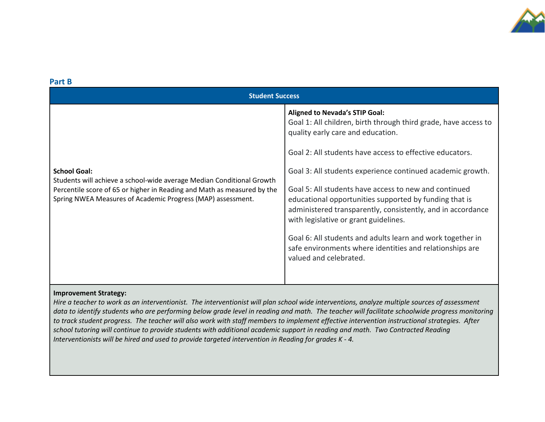

| Part B                                                                                                                                                                                                                                 |                                                                                                                                                                                                                                                                                                                                                                                                                                                                                                                                                                                                                                                        |  |  |  |  |
|----------------------------------------------------------------------------------------------------------------------------------------------------------------------------------------------------------------------------------------|--------------------------------------------------------------------------------------------------------------------------------------------------------------------------------------------------------------------------------------------------------------------------------------------------------------------------------------------------------------------------------------------------------------------------------------------------------------------------------------------------------------------------------------------------------------------------------------------------------------------------------------------------------|--|--|--|--|
| <b>Student Success</b>                                                                                                                                                                                                                 |                                                                                                                                                                                                                                                                                                                                                                                                                                                                                                                                                                                                                                                        |  |  |  |  |
| <b>School Goal:</b><br>Students will achieve a school-wide average Median Conditional Growth<br>Percentile score of 65 or higher in Reading and Math as measured by the<br>Spring NWEA Measures of Academic Progress (MAP) assessment. | <b>Aligned to Nevada's STIP Goal:</b><br>Goal 1: All children, birth through third grade, have access to<br>quality early care and education.<br>Goal 2: All students have access to effective educators.<br>Goal 3: All students experience continued academic growth.<br>Goal 5: All students have access to new and continued<br>educational opportunities supported by funding that is<br>administered transparently, consistently, and in accordance<br>with legislative or grant guidelines.<br>Goal 6: All students and adults learn and work together in<br>safe environments where identities and relationships are<br>valued and celebrated. |  |  |  |  |
|                                                                                                                                                                                                                                        |                                                                                                                                                                                                                                                                                                                                                                                                                                                                                                                                                                                                                                                        |  |  |  |  |

### **Improvement Strategy:**

*Hire a teacher to work as an interventionist. The interventionist will plan school wide interventions, analyze multiple sources of assessment*  data to identify students who are performing below grade level in reading and math. The teacher will facilitate schoolwide progress monitoring *to track student progress. The teacher will also work with staff members to implement effective intervention instructional strategies. After school tutoring will continue to provide students with additional academic support in reading and math. Two Contracted Reading Interventionists will be hired and used to provide targeted intervention in Reading for grades K - 4.*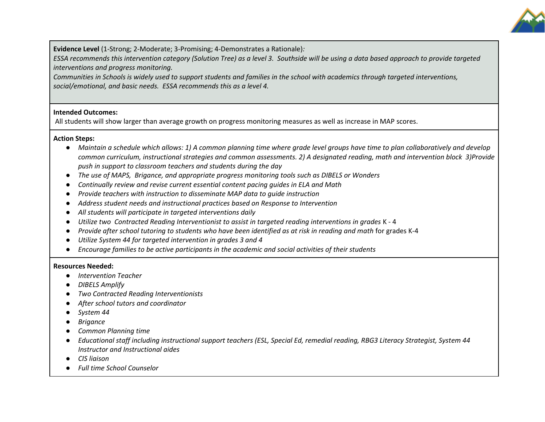

**Evidence Level** (1-Strong; 2-Moderate; 3-Promising; 4-Demonstrates a Rationale)*:* 

*ESSA recommends this intervention category (Solution Tree) as a level 3. Southside will be using a data based approach to provide targeted interventions and progress monitoring.*

*Communities in Schools is widely used to support students and families in the school with academics through targeted interventions, social/emotional, and basic needs. ESSA recommends this as a level 4.*

### **Intended Outcomes:**

All students will show larger than average growth on progress monitoring measures as well as increase in MAP scores.

#### **Action Steps:**

- *Maintain a schedule which allows: 1) A common planning time where grade level groups have time to plan collaboratively and develop common curriculum, instructional strategies and common assessments. 2) A designated reading, math and intervention block 3)Provide push in support to classroom teachers and students during the day*
- *The use of MAPS, Brigance, and appropriate progress monitoring tools such as DIBELS or Wonders*
- *Continually review and revise current essential content pacing guides in ELA and Math*
- *Provide teachers with instruction to disseminate MAP data to guide instruction*
- *Address student needs and instructional practices based on Response to Intervention*
- *All students will participate in targeted interventions daily*
- *Utilize two Contracted Reading Interventionist to assist in targeted reading interventions in grades* K 4
- *Provide after school tutoring to students who have been identified as at risk in reading and math* for grades K-4
- *Utilize System 44 for targeted intervention in grades 3 and 4*
- *Encourage families to be active participants in the academic and social activities of their students*

### **Resources Needed:**

- *Intervention Teacher*
- *DIBELS Amplify*
- *Two Contracted Reading Interventionists*
- *After school tutors and coordinator*
- *System 44*
- *Brigance*
- *Common Planning time*
- *Educational staff including instructional support teachers (ESL, Special Ed, remedial reading, RBG3 Literacy Strategist, System 44 Instructor and Instructional aides*
- *CIS liaison*
- *Full time School Counselor*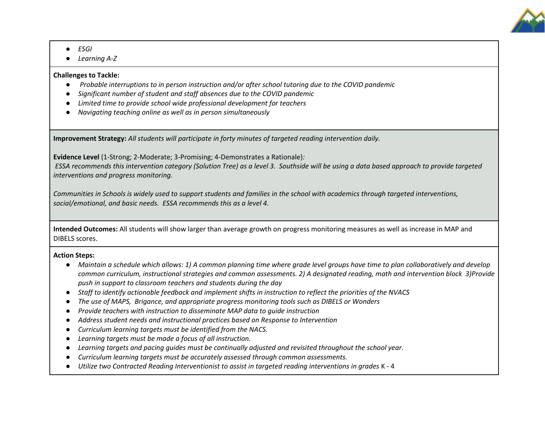

- *ESGI*
- *Learning A-Z*

#### **Challenges to Tackle:**

- *Probable interruptions to in person instruction and/or after school tutoring due to the COVID pandemic*
- *Significant number of student and staff absences due to the COVID pandemic*
- *Limited time to provide school wide professional development for teachers*
- *Navigating teaching online as well as in person simultaneously*

**Improvement Strategy:** *All students will participate in forty minutes of targeted reading intervention daily.* 

**Evidence Level** (1-Strong; 2-Moderate; 3-Promising; 4-Demonstrates a Rationale)*:*

*ESSA recommends this intervention category (Solution Tree) as a level 3. Southside will be using a data based approach to provide targeted interventions and progress monitoring.*

*Communities in Schools is widely used to support students and families in the school with academics through targeted interventions, social/emotional, and basic needs. ESSA recommends this as a level 4.*

**Intended Outcomes:** All students will show larger than average growth on progress monitoring measures as well as increase in MAP and DIBELS scores.

### **Action Steps:**

- *Maintain a schedule which allows: 1) A common planning time where grade level groups have time to plan collaboratively and develop common curriculum, instructional strategies and common assessments. 2) A designated reading, math and intervention block 3)Provide push in support to classroom teachers and students during the day*
- *Staff to identify actionable feedback and implement shifts in instruction to reflect the priorities of the NVACS*
- *The use of MAPS, Brigance, and appropriate progress monitoring tools such as DIBELS or Wonders*
- *Provide teachers with instruction to disseminate MAP data to guide instruction*
- *Address student needs and instructional practices based on Response to Intervention*
- *Curriculum learning targets must be identified from the NACS.*
- *Learning targets must be made a focus of all instruction.*
- *Learning targets and pacing guides must be continually adjusted and revisited throughout the school year.*
- *Curriculum learning targets must be accurately assessed through common assessments.*
- *Utilize two Contracted Reading Interventionist to assist in targeted reading interventions in grades* K 4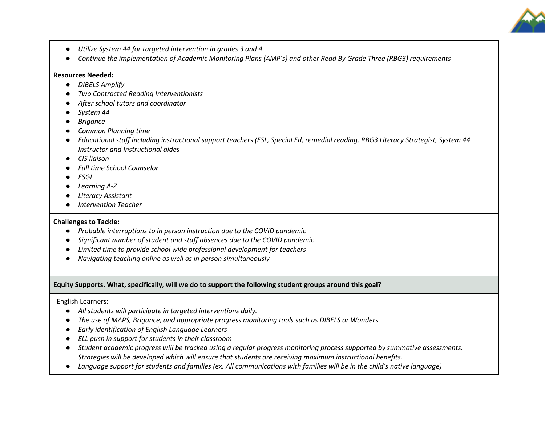

- *Utilize System 44 for targeted intervention in grades 3 and 4*
- *Continue the implementation of Academic Monitoring Plans (AMP's) and other Read By Grade Three (RBG3) requirements*

#### **Resources Needed:**

- *DIBELS Amplify*
- *Two Contracted Reading Interventionists*
- *After school tutors and coordinator*
- *System 44*
- *Brigance*
- *Common Planning time*
- *Educational staff including instructional support teachers (ESL, Special Ed, remedial reading, RBG3 Literacy Strategist, System 44 Instructor and Instructional aides*
- *CIS liaison*
- *Full time School Counselor*
- *ESGI*
- *Learning A-Z*
- *Literacy Assistant*
- *Intervention Teacher*

#### **Challenges to Tackle:**

- *Probable interruptions to in person instruction due to the COVID pandemic*
- *Significant number of student and staff absences due to the COVID pandemic*
- *Limited time to provide school wide professional development for teachers*
- *Navigating teaching online as well as in person simultaneously*

#### **Equity Supports. What, specifically, will we do to support the following student groups around this goal?**

#### English Learners:

- *All students will participate in targeted interventions daily.*
- *The use of MAPS, Brigance, and appropriate progress monitoring tools such as DIBELS or Wonders.*
- *Early identification of English Language Learners*
- *ELL push in support for students in their classroom*
- *Student academic progress will be tracked using a regular progress monitoring process supported by summative assessments. Strategies will be developed which will ensure that students are receiving maximum instructional benefits.*
- *Language support for students and families (ex. All communications with families will be in the child's native language)*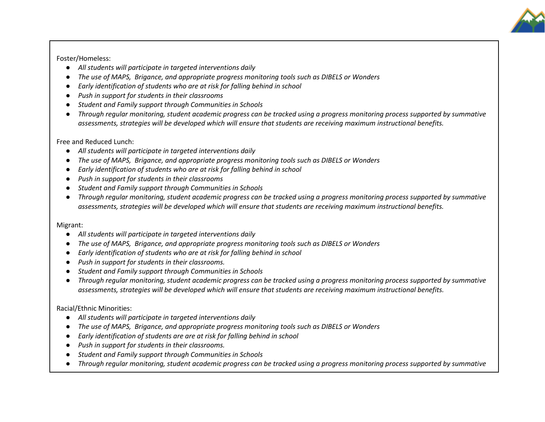Foster/Homeless:

- *All students will participate in targeted interventions daily*
- *The use of MAPS, Brigance, and appropriate progress monitoring tools such as DIBELS or Wonders*
- *Early identification of students who are at risk for falling behind in school*
- *Push in support for students in their classrooms*
- *Student and Family support through Communities in Schools*
- *Through regular monitoring, student academic progress can be tracked using a progress monitoring process supported by summative assessments, strategies will be developed which will ensure that students are receiving maximum instructional benefits.*

Free and Reduced Lunch:

- *All students will participate in targeted interventions daily*
- *The use of MAPS, Brigance, and appropriate progress monitoring tools such as DIBELS or Wonders*
- *Early identification of students who are at risk for falling behind in school*
- *Push in support for students in their classrooms*
- *Student and Family support through Communities in Schools*
- *Through regular monitoring, student academic progress can be tracked using a progress monitoring process supported by summative assessments, strategies will be developed which will ensure that students are receiving maximum instructional benefits.*

Migrant:

- *All students will participate in targeted interventions daily*
- *The use of MAPS, Brigance, and appropriate progress monitoring tools such as DIBELS or Wonders*
- *Early identification of students who are at risk for falling behind in school*
- *Push in support for students in their classrooms.*
- *Student and Family support through Communities in Schools*
- *Through regular monitoring, student academic progress can be tracked using a progress monitoring process supported by summative assessments, strategies will be developed which will ensure that students are receiving maximum instructional benefits.*

Racial/Ethnic Minorities:

- *All students will participate in targeted interventions daily*
- *The use of MAPS, Brigance, and appropriate progress monitoring tools such as DIBELS or Wonders*
- *Early identification of students are are at risk for falling behind in school*
- *Push in support for students in their classrooms.*
- *Student and Family support through Communities in Schools*
- *Through regular monitoring, student academic progress can be tracked using a progress monitoring process supported by summative*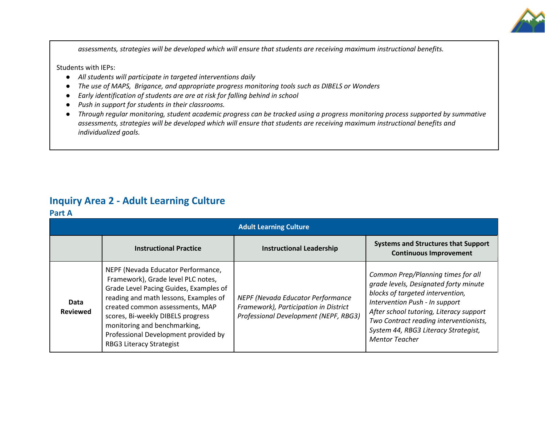

*assessments, strategies will be developed which will ensure that students are receiving maximum instructional benefits.*

Students with IEPs:

- *All students will participate in targeted interventions daily*
- *The use of MAPS, Brigance, and appropriate progress monitoring tools such as DIBELS or Wonders*
- *Early identification of students are are at risk for falling behind in school*
- *Push in support for students in their classrooms.*
- *Through regular monitoring, student academic progress can be tracked using a progress monitoring process supported by summative assessments, strategies will be developed which will ensure that students are receiving maximum instructional benefits and individualized goals.*

### **Inquiry Area 2 - Adult Learning Culture**

#### **Part A**

| <b>Adult Learning Culture</b> |                                                                                                                                                                                                                                                                                                                                                |                                                                                                                     |                                                                                                                                                                                                                                                                                                         |  |  |
|-------------------------------|------------------------------------------------------------------------------------------------------------------------------------------------------------------------------------------------------------------------------------------------------------------------------------------------------------------------------------------------|---------------------------------------------------------------------------------------------------------------------|---------------------------------------------------------------------------------------------------------------------------------------------------------------------------------------------------------------------------------------------------------------------------------------------------------|--|--|
|                               | <b>Instructional Practice</b>                                                                                                                                                                                                                                                                                                                  | <b>Instructional Leadership</b>                                                                                     | <b>Systems and Structures that Support</b><br><b>Continuous Improvement</b>                                                                                                                                                                                                                             |  |  |
| Data<br><b>Reviewed</b>       | NEPF (Nevada Educator Performance,<br>Framework), Grade level PLC notes,<br>Grade Level Pacing Guides, Examples of<br>reading and math lessons, Examples of<br>created common assessments, MAP<br>scores, Bi-weekly DIBELS progress<br>monitoring and benchmarking,<br>Professional Development provided by<br><b>RBG3 Literacy Strategist</b> | NEPF (Nevada Educator Performance<br>Framework), Participation in District<br>Professional Development (NEPF, RBG3) | Common Prep/Planning times for all<br>grade levels, Designated forty minute<br>blocks of targeted intervention,<br>Intervention Push - In support<br>After school tutoring, Literacy support<br>Two Contract reading interventionists,<br>System 44, RBG3 Literacy Strategist,<br><b>Mentor Teacher</b> |  |  |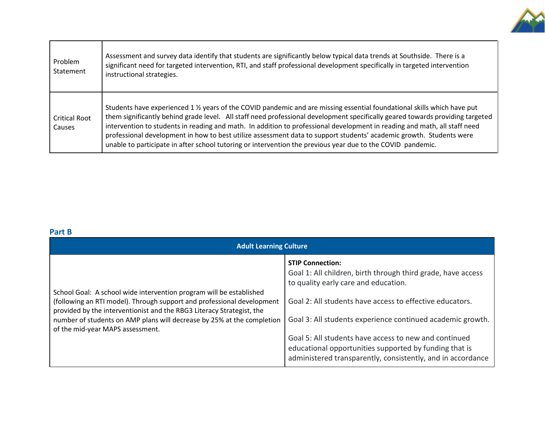

| Problem<br>Statement           | Assessment and survey data identify that students are significantly below typical data trends at Southside. There is a<br>significant need for targeted intervention, RTI, and staff professional development specifically in targeted intervention<br>instructional strategies.                                                                                                                                                                                                                                                                                                                                           |
|--------------------------------|----------------------------------------------------------------------------------------------------------------------------------------------------------------------------------------------------------------------------------------------------------------------------------------------------------------------------------------------------------------------------------------------------------------------------------------------------------------------------------------------------------------------------------------------------------------------------------------------------------------------------|
| <b>Critical Root</b><br>Causes | Students have experienced 1 % years of the COVID pandemic and are missing essential foundational skills which have put<br>them significantly behind grade level. All staff need professional development specifically geared towards providing targeted<br>intervention to students in reading and math. In addition to professional development in reading and math, all staff need<br>professional development in how to best utilize assessment data to support students' academic growth. Students were<br>unable to participate in after school tutoring or intervention the previous year due to the COVID pandemic. |

### **Part B**

| <b>Adult Learning Culture</b>                                                                                                                                                                                                                                                                                                        |                                                                                                                                                                                                                                                                                                                                                                                                                                             |  |  |  |
|--------------------------------------------------------------------------------------------------------------------------------------------------------------------------------------------------------------------------------------------------------------------------------------------------------------------------------------|---------------------------------------------------------------------------------------------------------------------------------------------------------------------------------------------------------------------------------------------------------------------------------------------------------------------------------------------------------------------------------------------------------------------------------------------|--|--|--|
| School Goal: A school wide intervention program will be established<br>(following an RTI model). Through support and professional development<br>provided by the interventionist and the RBG3 Literacy Strategist, the<br>number of students on AMP plans will decrease by 25% at the completion<br>of the mid-year MAPS assessment. | <b>STIP Connection:</b><br>Goal 1: All children, birth through third grade, have access<br>to quality early care and education.<br>Goal 2: All students have access to effective educators.<br>Goal 3: All students experience continued academic growth.<br>Goal 5: All students have access to new and continued<br>educational opportunities supported by funding that is<br>administered transparently, consistently, and in accordance |  |  |  |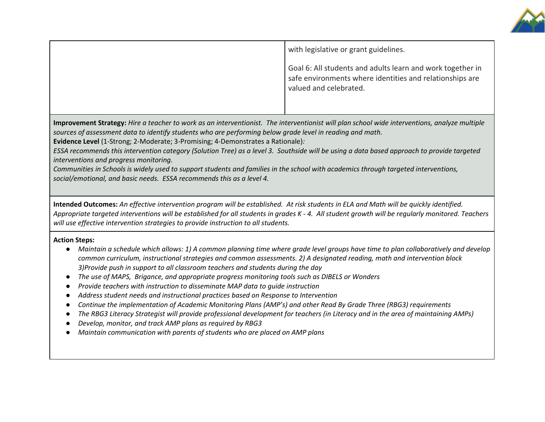

| with legislative or grant guidelines.                                                                                                            |
|--------------------------------------------------------------------------------------------------------------------------------------------------|
| Goal 6: All students and adults learn and work together in<br>safe environments where identities and relationships are<br>valued and celebrated. |

**Improvement Strategy:** *Hire a teacher to work as an interventionist. The interventionist will plan school wide interventions, analyze multiple sources of assessment data to identify students who are performing below grade level in reading and math.* 

**Evidence Level** (1-Strong; 2-Moderate; 3-Promising; 4-Demonstrates a Rationale)*:* 

*ESSA recommends this intervention category (Solution Tree) as a level 3. Southside will be using a data based approach to provide targeted interventions and progress monitoring.*

*Communities in Schools is widely used to support students and families in the school with academics through targeted interventions, social/emotional, and basic needs. ESSA recommends this as a level 4.*

**Intended Outcomes:** *An effective intervention program will be established. At risk students in ELA and Math will be quickly identified. Appropriate targeted interventions will be established for all students in grades K - 4. All student growth will be regularly monitored. Teachers will use effective intervention strategies to provide instruction to all students.*

### **Action Steps:**

- *Maintain a schedule which allows: 1) A common planning time where grade level groups have time to plan collaboratively and develop common curriculum, instructional strategies and common assessments. 2) A designated reading, math and intervention block 3)Provide push in support to all classroom teachers and students during the day*
- *The use of MAPS, Brigance, and appropriate progress monitoring tools such as DIBELS or Wonders*
- *Provide teachers with instruction to disseminate MAP data to guide instruction*
- *Address student needs and instructional practices based on Response to Intervention*
- *Continue the implementation of Academic Monitoring Plans (AMP's) and other Read By Grade Three (RBG3) requirements*
- *The RBG3 Literacy Strategist will provide professional development for teachers (in Literacy and in the area of maintaining AMPs)*
- Develop, monitor, and track AMP plans as required by RBG3
- *Maintain communication with parents of students who are placed on AMP plans*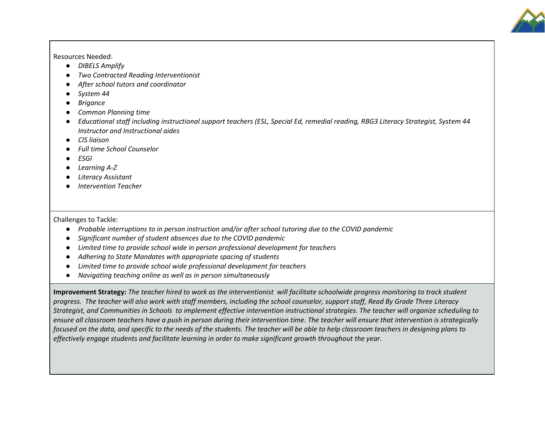

Resources Needed:

- *DIBELS Amplify*
- *Two Contracted Reading Interventionist*
- *After school tutors and coordinator*
- *System 44*
- *Brigance*
- *Common Planning time*
- *Educational staff including instructional support teachers (ESL, Special Ed, remedial reading, RBG3 Literacy Strategist, System 44 Instructor and Instructional aides*
- *CIS liaison*
- *Full time School Counselor*
- *ESGI*
- *Learning A-Z*
- *Literacy Assistant*
- *Intervention Teacher*

Challenges to Tackle:

- *Probable interruptions to in person instruction and/or after school tutoring due to the COVID pandemic*
- *Significant number of student absences due to the COVID pandemic*
- *Limited time to provide school wide in person professional development for teachers*
- *Adhering to State Mandates with appropriate spacing of students*
- *Limited time to provide school wide professional development for teachers*
- *Navigating teaching online as well as in person simultaneously*

**Improvement Strategy:** *The teacher hired to work as the interventionist will facilitate schoolwide progress monitoring to track student progress. The teacher will also work with staff members, including the school counselor, support staff, Read By Grade Three Literacy Strategist, and Communities in Schools to implement effective intervention instructional strategies. The teacher will organize scheduling to ensure all classroom teachers have a push in person during their intervention time. The teacher will ensure that intervention is strategically focused on the data, and specific to the needs of the students. The teacher will be able to help classroom teachers in designing plans to effectively engage students and facilitate learning in order to make significant growth throughout the year.*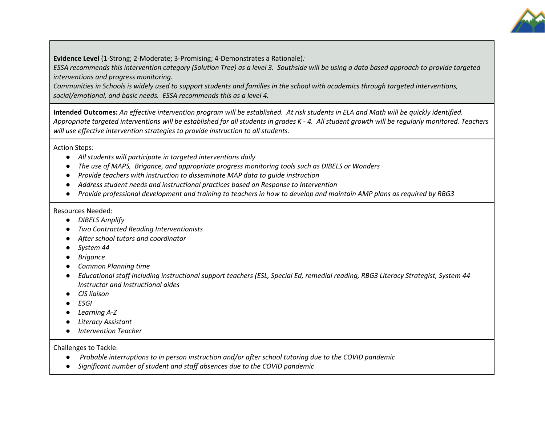

**Evidence Level** (1-Strong; 2-Moderate; 3-Promising; 4-Demonstrates a Rationale)*:* 

*ESSA recommends this intervention category (Solution Tree) as a level 3. Southside will be using a data based approach to provide targeted interventions and progress monitoring.*

*Communities in Schools is widely used to support students and families in the school with academics through targeted interventions, social/emotional, and basic needs. ESSA recommends this as a level 4.*

**Intended Outcomes:** *An effective intervention program will be established. At risk students in ELA and Math will be quickly identified. Appropriate targeted interventions will be established for all students in grades K - 4. All student growth will be regularly monitored. Teachers will use effective intervention strategies to provide instruction to all students.*

Action Steps:

- *All students will participate in targeted interventions daily*
- *The use of MAPS, Brigance, and appropriate progress monitoring tools such as DIBELS or Wonders*
- *Provide teachers with instruction to disseminate MAP data to guide instruction*
- *Address student needs and instructional practices based on Response to Intervention*
- *Provide professional development and training to teachers in how to develop and maintain AMP plans as required by RBG3*

Resources Needed:

- *DIBELS Amplify*
- *Two Contracted Reading Interventionists*
- *After school tutors and coordinator*
- *System 44*
- *Brigance*
- *Common Planning time*
- *Educational staff including instructional support teachers (ESL, Special Ed, remedial reading, RBG3 Literacy Strategist, System 44 Instructor and Instructional aides*
- *CIS liaison*
- *ESGI*
- *Learning A-Z*
- *Literacy Assistant*
- *Intervention Teacher*

Challenges to Tackle:

- *Probable interruptions to in person instruction and/or after school tutoring due to the COVID pandemic*
- *Significant number of student and staff absences due to the COVID pandemic*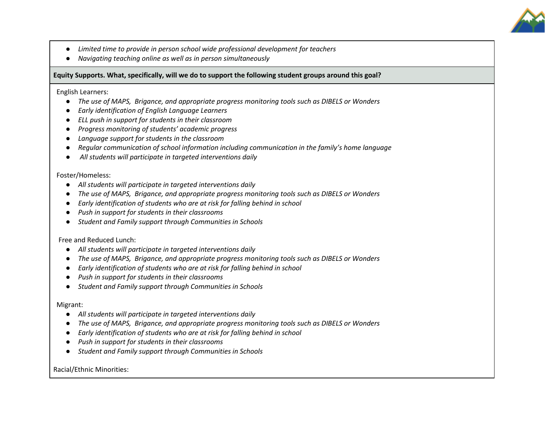

- *Limited time to provide in person school wide professional development for teachers*
- *Navigating teaching online as well as in person simultaneously*

**Equity Supports. What, specifically, will we do to support the following student groups around this goal?**

English Learners:

- *The use of MAPS, Brigance, and appropriate progress monitoring tools such as DIBELS or Wonders*
- *Early identification of English Language Learners*
- *ELL push in support for students in their classroom*
- *Progress monitoring of students' academic progress*
- *Language support for students in the classroom*
- *Regular communication of school information including communication in the family's home language*
- *All students will participate in targeted interventions daily*

Foster/Homeless:

- *All students will participate in targeted interventions daily*
- *The use of MAPS, Brigance, and appropriate progress monitoring tools such as DIBELS or Wonders*
- *Early identification of students who are at risk for falling behind in school*
- *Push in support for students in their classrooms*
- *Student and Family support through Communities in Schools*

Free and Reduced Lunch:

- *All students will participate in targeted interventions daily*
- *The use of MAPS, Brigance, and appropriate progress monitoring tools such as DIBELS or Wonders*
- *Early identification of students who are at risk for falling behind in school*
- *Push in support for students in their classrooms*
- *Student and Family support through Communities in Schools*

Migrant:

- *All students will participate in targeted interventions daily*
- *The use of MAPS, Brigance, and appropriate progress monitoring tools such as DIBELS or Wonders*
- *Early identification of students who are at risk for falling behind in school*
- *Push in support for students in their classrooms*
- *Student and Family support through Communities in Schools*

Racial/Ethnic Minorities: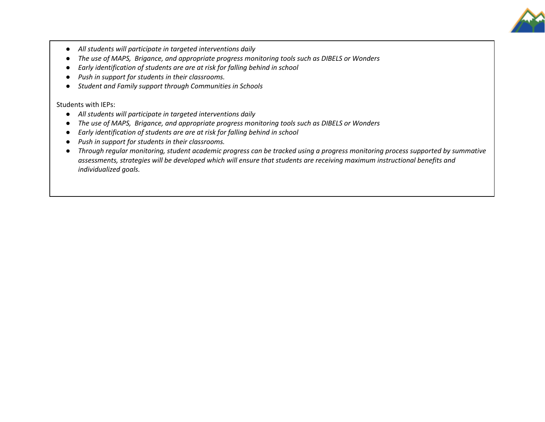

- *All students will participate in targeted interventions daily*
- *The use of MAPS, Brigance, and appropriate progress monitoring tools such as DIBELS or Wonders*
- *Early identification of students are are at risk for falling behind in school*
- *Push in support for students in their classrooms.*
- *Student and Family support through Communities in Schools*

Students with IEPs:

- *All students will participate in targeted interventions daily*
- *The use of MAPS, Brigance, and appropriate progress monitoring tools such as DIBELS or Wonders*
- *Early identification of students are are at risk for falling behind in school*
- *Push in support for students in their classrooms.*
- *Through regular monitoring, student academic progress can be tracked using a progress monitoring process supported by summative assessments, strategies will be developed which will ensure that students are receiving maximum instructional benefits and individualized goals.*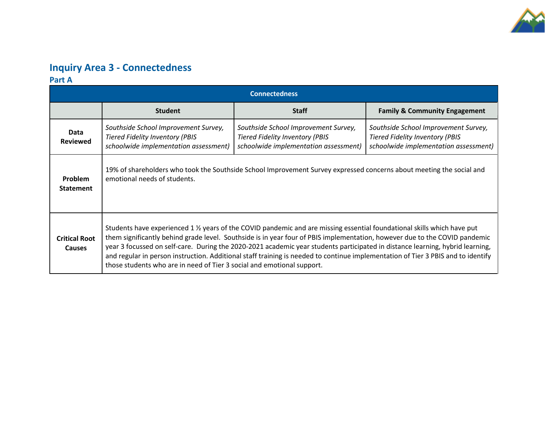

## **Inquiry Area 3 - Connectedness**

**Part A**

| <b>Connectedness</b>                  |                                                                                                                                                                                                                                                                                                                                                                                                                                                                                                                                                                                                     |                                                                                                                         |                                                                                                                         |  |
|---------------------------------------|-----------------------------------------------------------------------------------------------------------------------------------------------------------------------------------------------------------------------------------------------------------------------------------------------------------------------------------------------------------------------------------------------------------------------------------------------------------------------------------------------------------------------------------------------------------------------------------------------------|-------------------------------------------------------------------------------------------------------------------------|-------------------------------------------------------------------------------------------------------------------------|--|
|                                       | <b>Student</b>                                                                                                                                                                                                                                                                                                                                                                                                                                                                                                                                                                                      | <b>Staff</b>                                                                                                            | <b>Family &amp; Community Engagement</b>                                                                                |  |
| Data<br><b>Reviewed</b>               | Southside School Improvement Survey,<br><b>Tiered Fidelity Inventory (PBIS</b><br>schoolwide implementation assessment)                                                                                                                                                                                                                                                                                                                                                                                                                                                                             | Southside School Improvement Survey,<br><b>Tiered Fidelity Inventory (PBIS</b><br>schoolwide implementation assessment) | Southside School Improvement Survey,<br><b>Tiered Fidelity Inventory (PBIS</b><br>schoolwide implementation assessment) |  |
| <b>Problem</b><br><b>Statement</b>    | 19% of shareholders who took the Southside School Improvement Survey expressed concerns about meeting the social and<br>emotional needs of students.                                                                                                                                                                                                                                                                                                                                                                                                                                                |                                                                                                                         |                                                                                                                         |  |
| <b>Critical Root</b><br><b>Causes</b> | Students have experienced 1 % years of the COVID pandemic and are missing essential foundational skills which have put<br>them significantly behind grade level. Southside is in year four of PBIS implementation, however due to the COVID pandemic<br>year 3 focussed on self-care. During the 2020-2021 academic year students participated in distance learning, hybrid learning,<br>and regular in person instruction. Additional staff training is needed to continue implementation of Tier 3 PBIS and to identify<br>those students who are in need of Tier 3 social and emotional support. |                                                                                                                         |                                                                                                                         |  |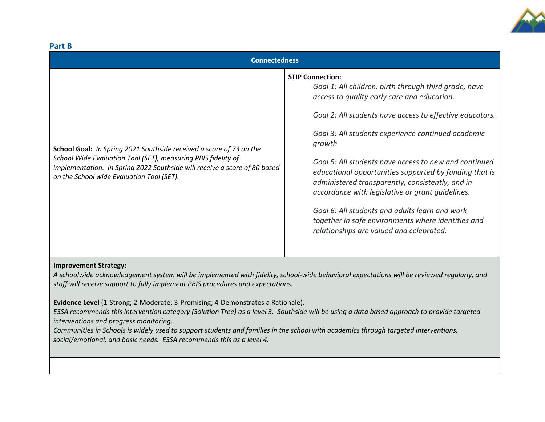

| Part B                                                                                                                                                                                                                                                         |                                                                                                                                                                                                                                                                                                                                                                                                                                                                                                                                                                                                                                            |  |  |  |
|----------------------------------------------------------------------------------------------------------------------------------------------------------------------------------------------------------------------------------------------------------------|--------------------------------------------------------------------------------------------------------------------------------------------------------------------------------------------------------------------------------------------------------------------------------------------------------------------------------------------------------------------------------------------------------------------------------------------------------------------------------------------------------------------------------------------------------------------------------------------------------------------------------------------|--|--|--|
| <b>Connectedness</b>                                                                                                                                                                                                                                           |                                                                                                                                                                                                                                                                                                                                                                                                                                                                                                                                                                                                                                            |  |  |  |
| School Goal: In Spring 2021 Southside received a score of 73 on the<br>School Wide Evaluation Tool (SET), measuring PBIS fidelity of<br>implementation. In Spring 2022 Southside will receive a score of 80 based<br>on the School wide Evaluation Tool (SET). | <b>STIP Connection:</b><br>Goal 1: All children, birth through third grade, have<br>access to quality early care and education.<br>Goal 2: All students have access to effective educators.<br>Goal 3: All students experience continued academic<br>growth<br>Goal 5: All students have access to new and continued<br>educational opportunities supported by funding that is<br>administered transparently, consistently, and in<br>accordance with legislative or grant quidelines.<br>Goal 6: All students and adults learn and work<br>together in safe environments where identities and<br>relationships are valued and celebrated. |  |  |  |
|                                                                                                                                                                                                                                                                |                                                                                                                                                                                                                                                                                                                                                                                                                                                                                                                                                                                                                                            |  |  |  |

### **Improvement Strategy:**

*A schoolwide acknowledgement system will be implemented with fidelity, school-wide behavioral expectations will be reviewed regularly, and staff will receive support to fully implement PBIS procedures and expectations.* 

**Evidence Level** (1-Strong; 2-Moderate; 3-Promising; 4-Demonstrates a Rationale)*:* 

*ESSA recommends this intervention category (Solution Tree) as a level 3. Southside will be using a data based approach to provide targeted interventions and progress monitoring.*

*Communities in Schools is widely used to support students and families in the school with academics through targeted interventions, social/emotional, and basic needs. ESSA recommends this as a level 4.*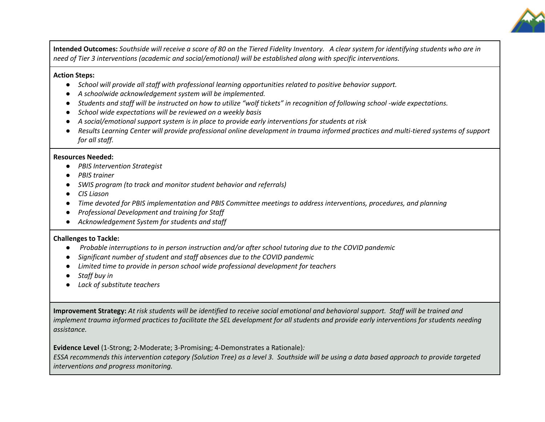

**Intended Outcomes:** *Southside will receive a score of 80 on the Tiered Fidelity Inventory. A clear system for identifying students who are in need of Tier 3 interventions (academic and social/emotional) will be established along with specific interventions.*

#### **Action Steps:**

- *School will provide all staff with professional learning opportunities related to positive behavior support.*
- *A schoolwide acknowledgement system will be implemented.*
- Students and staff will be instructed on how to utilize "wolf tickets" in recognition of following school *-wide expectations*.
- *School wide expectations will be reviewed on a weekly basis*
- *A social/emotional support system is in place to provide early interventions for students at risk*
- *Results Learning Center will provide professional online development in trauma informed practices and multi-tiered systems of support for all staff.*

#### **Resources Needed:**

- *PBIS Intervention Strategist*
- *PBIS trainer*
- *SWIS program (to track and monitor student behavior and referrals)*
- *CIS Liason*
- *Time devoted for PBIS implementation and PBIS Committee meetings to address interventions, procedures, and planning*
- *Professional Development and training for Staff*
- *Acknowledgement System for students and staff*

#### **Challenges to Tackle:**

- *Probable interruptions to in person instruction and/or after school tutoring due to the COVID pandemic*
- *Significant number of student and staff absences due to the COVID pandemic*
- *Limited time to provide in person school wide professional development for teachers*
- *Staff buy in*
- *Lack of substitute teachers*

**Improvement Strategy:** *At risk students will be identified to receive social emotional and behavioral support. Staff will be trained and implement trauma informed practices to facilitate the SEL development for all students and provide early interventions for students needing assistance.*

**Evidence Level** (1-Strong; 2-Moderate; 3-Promising; 4-Demonstrates a Rationale)*:* 

*ESSA recommends this intervention category (Solution Tree) as a level 3. Southside will be using a data based approach to provide targeted interventions and progress monitoring.*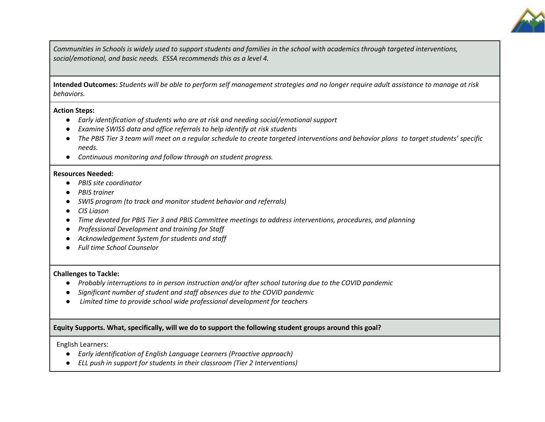

*Communities in Schools is widely used to support students and families in the school with academics through targeted interventions, social/emotional, and basic needs. ESSA recommends this as a level 4.*

**Intended Outcomes:** *Students will be able to perform self management strategies and no longer require adult assistance to manage at risk behaviors.*

#### **Action Steps:**

- *Early identification of students who are at risk and needing social/emotional support*
- *Examine SWISS data and office referrals to help identify at risk students*
- *The PBIS Tier 3 team will meet on a regular schedule to create targeted interventions and behavior plans to target students' specific needs.*
- *Continuous monitoring and follow through on student progress.*

#### **Resources Needed:**

- *PBIS site coordinator*
- *PBIS trainer*
- *SWIS program (to track and monitor student behavior and referrals)*
- *CIS Liason*
- *Time devoted for PBIS Tier 3 and PBIS Committee meetings to address interventions, procedures, and planning*
- *Professional Development and training for Staff*
- *Acknowledgement System for students and staff*
- *Full time School Counselor*

#### **Challenges to Tackle:**

- *Probably interruptions to in person instruction and/or after school tutoring due to the COVID pandemic*
- *Significant number of student and staff absences due to the COVID pandemic*
- *Limited time to provide school wide professional development for teachers*

### **Equity Supports. What, specifically, will we do to support the following student groups around this goal?**

English Learners:

- *Early identification of English Language Learners (Proactive approach)*
- *ELL push in support for students in their classroom (Tier 2 Interventions)*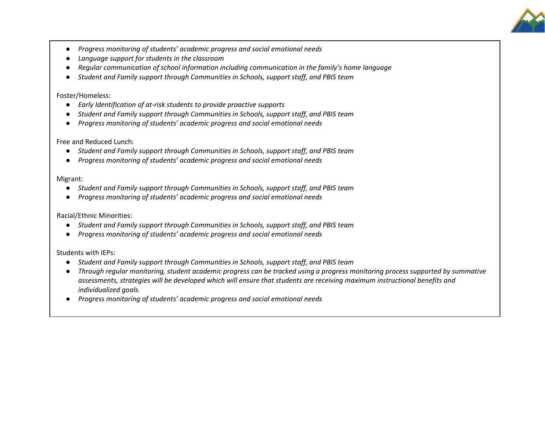

- *Progress monitoring of students' academic progress and social emotional needs*
- *Language support for students in the classroom*
- *Regular communication of school information including communication in the family's home language*
- *Student and Family support through Communities in Schools, support staff, and PBIS team*

#### Foster/Homeless:

- *Early Identification of at-risk students to provide proactive supports*
- *Student and Family support through Communities in Schools, support staff, and PBIS team*
- *Progress monitoring of students' academic progress and social emotional needs*

#### Free and Reduced Lunch:

- *Student and Family support through Communities in Schools, support staff, and PBIS team*
- *Progress monitoring of students' academic progress and social emotional needs*

#### Migrant:

- *Student and Family support through Communities in Schools, support staff, and PBIS team*
- *Progress monitoring of students' academic progress and social emotional needs*

### Racial/Ethnic Minorities:

- *Student and Family support through Communities in Schools, support staff, and PBIS team*
- *Progress monitoring of students' academic progress and social emotional needs*

### Students with IEPs:

- *Student and Family support through Communities in Schools, support staff, and PBIS team*
- *Through regular monitoring, student academic progress can be tracked using a progress monitoring process supported by summative assessments, strategies will be developed which will ensure that students are receiving maximum instructional benefits and individualized goals.*
- *Progress monitoring of students' academic progress and social emotional needs*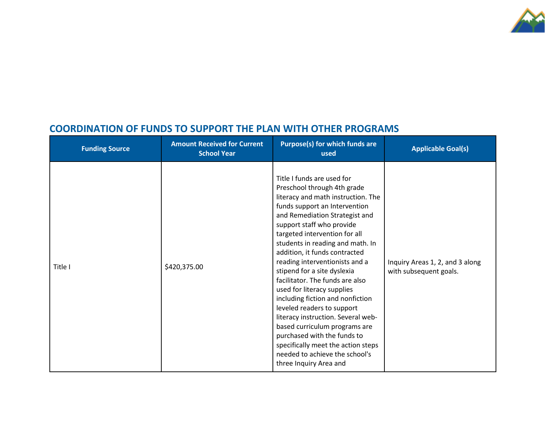

### **COORDINATION OF FUNDS TO SUPPORT THE PLAN WITH OTHER PROGRAMS**

| <b>Funding Source</b> | <b>Amount Received for Current</b><br><b>School Year</b> | <b>Purpose(s) for which funds are</b><br>used                                                                                                                                                                                                                                                                                                                                                                                                                                                                                                                                                                                                                                                                     | <b>Applicable Goal(s)</b>                                 |
|-----------------------|----------------------------------------------------------|-------------------------------------------------------------------------------------------------------------------------------------------------------------------------------------------------------------------------------------------------------------------------------------------------------------------------------------------------------------------------------------------------------------------------------------------------------------------------------------------------------------------------------------------------------------------------------------------------------------------------------------------------------------------------------------------------------------------|-----------------------------------------------------------|
| Title I               | \$420,375.00                                             | Title I funds are used for<br>Preschool through 4th grade<br>literacy and math instruction. The<br>funds support an Intervention<br>and Remediation Strategist and<br>support staff who provide<br>targeted intervention for all<br>students in reading and math. In<br>addition, it funds contracted<br>reading interventionists and a<br>stipend for a site dyslexia<br>facilitator. The funds are also<br>used for literacy supplies<br>including fiction and nonfiction<br>leveled readers to support<br>literacy instruction. Several web-<br>based curriculum programs are<br>purchased with the funds to<br>specifically meet the action steps<br>needed to achieve the school's<br>three Inquiry Area and | Inquiry Areas 1, 2, and 3 along<br>with subsequent goals. |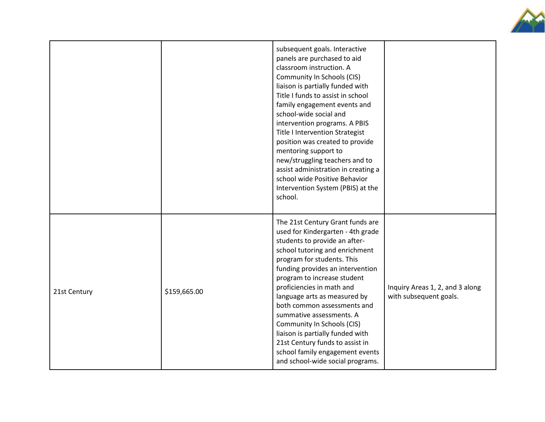

|              |              | subsequent goals. Interactive<br>panels are purchased to aid<br>classroom instruction. A<br>Community In Schools (CIS)<br>liaison is partially funded with<br>Title I funds to assist in school<br>family engagement events and<br>school-wide social and<br>intervention programs. A PBIS<br><b>Title I Intervention Strategist</b><br>position was created to provide<br>mentoring support to<br>new/struggling teachers and to<br>assist administration in creating a<br>school wide Positive Behavior<br>Intervention System (PBIS) at the<br>school. |                                                           |
|--------------|--------------|-----------------------------------------------------------------------------------------------------------------------------------------------------------------------------------------------------------------------------------------------------------------------------------------------------------------------------------------------------------------------------------------------------------------------------------------------------------------------------------------------------------------------------------------------------------|-----------------------------------------------------------|
| 21st Century | \$159,665.00 | The 21st Century Grant funds are<br>used for Kindergarten - 4th grade<br>students to provide an after-<br>school tutoring and enrichment<br>program for students. This<br>funding provides an intervention<br>program to increase student<br>proficiencies in math and<br>language arts as measured by<br>both common assessments and<br>summative assessments. A<br>Community In Schools (CIS)<br>liaison is partially funded with<br>21st Century funds to assist in<br>school family engagement events<br>and school-wide social programs.             | Inquiry Areas 1, 2, and 3 along<br>with subsequent goals. |